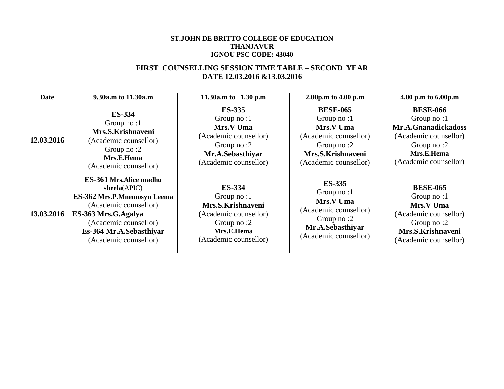#### **ST.JOHN DE BRITTO COLLEGE OF EDUCATION THANJAVUR IGNOU PSC CODE: 43040**

## **FIRST COUNSELLING SESSION TIME TABLE – SECOND YEAR DATE 12.03.2016 &13.03.2016**

| Date       | 9.30a.m to 11.30a.m                                                                                                                                                                                        | 11.30a.m to $1.30$ p.m                                                                                                            | 2.00p.m to 4.00 p.m                                                                                                                   | 4.00 p.m to 6.00p.m                                                                                                                |
|------------|------------------------------------------------------------------------------------------------------------------------------------------------------------------------------------------------------------|-----------------------------------------------------------------------------------------------------------------------------------|---------------------------------------------------------------------------------------------------------------------------------------|------------------------------------------------------------------------------------------------------------------------------------|
| 12.03.2016 | <b>ES-334</b><br>Group no:1<br>Mrs.S.Krishnaveni<br>(Academic counsellor)<br>Group no :2<br>Mrs.E.Hema<br>(Academic counsellor)                                                                            | <b>ES-335</b><br>Group no: $1$<br>Mrs.V Uma<br>(Academic counsellor)<br>Group no:2<br>Mr.A.Sebasthiyar<br>(Academic counsellor)   | <b>BESE-065</b><br>Group no: $1$<br>Mrs.V Uma<br>(Academic counsellor)<br>Group no $:2$<br>Mrs.S.Krishnaveni<br>(Academic counsellor) | <b>BESE-066</b><br>Group no:1<br>Mr.A.Gnanadickadoss<br>(Academic counsellor)<br>Group no:2<br>Mrs.E.Hema<br>(Academic counsellor) |
| 13.03.2016 | ES-361 Mrs. Alice madhu<br>sheela(APIC)<br><b>ES-362 Mrs.P.Mnemosyn Leema</b><br>(Academic counsellor)<br>ES-363 Mrs.G.Agalya<br>(Academic counsellor)<br>Es-364 Mr.A.Sebasthiyar<br>(Academic counsellor) | <b>ES-334</b><br>Group no:1<br>Mrs.S.Krishnaveni<br>(Academic counsellor)<br>Group no: $2$<br>Mrs.E.Hema<br>(Academic counsellor) | <b>ES-335</b><br>Group no: $1$<br>Mrs.V Uma<br>(Academic counsellor)<br>Group no: $2$<br>Mr.A.Sebasthiyar<br>(Academic counsellor)    | <b>BESE-065</b><br>Group no:1<br>Mrs.V Uma<br>(Academic counsellor)<br>Group no $:2$<br>Mrs.S.Krishnaveni<br>(Academic counsellor) |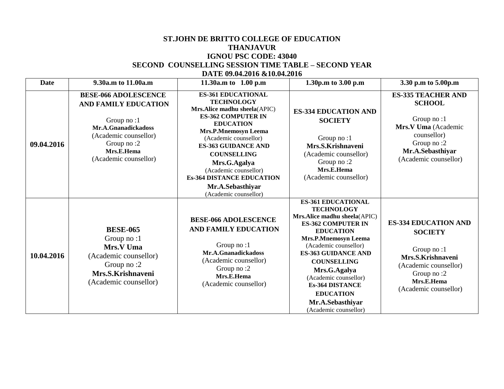#### **ST.JOHN DE BRITTO COLLEGE OF EDUCATION THANJAVUR IGNOU PSC CODE: 43040 SECOND COUNSELLING SESSION TIME TABLE – SECOND YEAR DATE 09.04.2016 &10.04.2016**

| <b>Date</b> | 9.30a.m to 11.00a.m                                                                                                                                                           | 11.30a.m to $1.00$ p.m                                                                                                                                                                                                                                                                                                                                                | 1.30p.m to 3.00 p.m                                                                                                                                                                                                                                                                                                                                                             | 3.30 p.m to 5.00p.m                                                                                                                                            |
|-------------|-------------------------------------------------------------------------------------------------------------------------------------------------------------------------------|-----------------------------------------------------------------------------------------------------------------------------------------------------------------------------------------------------------------------------------------------------------------------------------------------------------------------------------------------------------------------|---------------------------------------------------------------------------------------------------------------------------------------------------------------------------------------------------------------------------------------------------------------------------------------------------------------------------------------------------------------------------------|----------------------------------------------------------------------------------------------------------------------------------------------------------------|
| 09.04.2016  | <b>BESE-066 ADOLESCENCE</b><br><b>AND FAMILY EDUCATION</b><br>Group no:1<br>Mr.A.Gnanadickadoss<br>(Academic counsellor)<br>Group no:2<br>Mrs.E.Hema<br>(Academic counsellor) | <b>ES-361 EDUCATIONAL</b><br><b>TECHNOLOGY</b><br>Mrs.Alice madhu sheela(APIC)<br><b>ES-362 COMPUTER IN</b><br><b>EDUCATION</b><br><b>Mrs.P.Mnemosyn Leema</b><br>(Academic counsellor)<br><b>ES-363 GUIDANCE AND</b><br><b>COUNSELLING</b><br>Mrs.G.Agalya<br>(Academic counsellor)<br><b>Es-364 DISTANCE EDUCATION</b><br>Mr.A.Sebasthiyar<br>(Academic counsellor) | <b>ES-334 EDUCATION AND</b><br><b>SOCIETY</b><br>Group no:1<br>Mrs.S.Krishnaveni<br>(Academic counsellor)<br>Group no:2<br>Mrs.E.Hema<br>(Academic counsellor)                                                                                                                                                                                                                  | <b>ES-335 TEACHER AND</b><br><b>SCHOOL</b><br>Group no:1<br>Mrs.V Uma (Academic<br>counsellor)<br>Group no:2<br>Mr.A.Sebasthiyar<br>(Academic counsellor)      |
| 10.04.2016  | <b>BESE-065</b><br>Group no:1<br>Mrs.V Uma<br>(Academic counsellor)<br>Group no :2<br>Mrs.S.Krishnaveni<br>(Academic counsellor)                                              | <b>BESE-066 ADOLESCENCE</b><br>AND FAMILY EDUCATION<br>Group no:1<br>Mr.A.Gnanadickadoss<br>(Academic counsellor)<br>Group no:2<br>Mrs.E.Hema<br>(Academic counsellor)                                                                                                                                                                                                | <b>ES-361 EDUCATIONAL</b><br><b>TECHNOLOGY</b><br>Mrs.Alice madhu sheela(APIC)<br><b>ES-362 COMPUTER IN</b><br><b>EDUCATION</b><br><b>Mrs.P.Mnemosyn Leema</b><br>(Academic counsellor)<br><b>ES-363 GUIDANCE AND</b><br><b>COUNSELLING</b><br>Mrs.G.Agalya<br>(Academic counsellor)<br><b>Es-364 DISTANCE</b><br><b>EDUCATION</b><br>Mr.A.Sebasthiyar<br>(Academic counsellor) | <b>ES-334 EDUCATION AND</b><br><b>SOCIETY</b><br>Group no:1<br>Mrs.S.Krishnaveni<br>(Academic counsellor)<br>Group no:2<br>Mrs.E.Hema<br>(Academic counsellor) |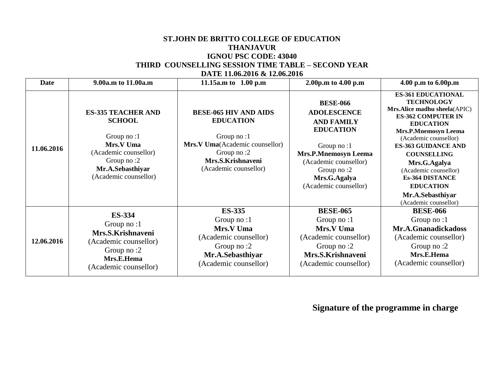#### **ST.JOHN DE BRITTO COLLEGE OF EDUCATION THANJAVUR IGNOU PSC CODE: 43040 THIRD COUNSELLING SESSION TIME TABLE – SECOND YEAR DATE 11.06.2016 & 12.06.2016**

| <b>Date</b> | 9.00a.m to 11.00a.m                                                                                                                                       | 11.15a.m to $1.00$ p.m                                                                                                                                       | 2.00p.m to 4.00 p.m                                                                                                                                                                                            | 4.00 p.m to 6.00p.m                                                                                                                                                                                                                                                                                                                                                             |
|-------------|-----------------------------------------------------------------------------------------------------------------------------------------------------------|--------------------------------------------------------------------------------------------------------------------------------------------------------------|----------------------------------------------------------------------------------------------------------------------------------------------------------------------------------------------------------------|---------------------------------------------------------------------------------------------------------------------------------------------------------------------------------------------------------------------------------------------------------------------------------------------------------------------------------------------------------------------------------|
| 11.06.2016  | <b>ES-335 TEACHER AND</b><br><b>SCHOOL</b><br>Group no:1<br>Mrs.V Uma<br>(Academic counsellor)<br>Group no:2<br>Mr.A.Sebasthiyar<br>(Academic counsellor) | <b>BESE-065 HIV AND AIDS</b><br><b>EDUCATION</b><br>Group no:1<br>Mrs.V Uma(Academic counsellor)<br>Group no:2<br>Mrs.S.Krishnaveni<br>(Academic counsellor) | <b>BESE-066</b><br><b>ADOLESCENCE</b><br><b>AND FAMILY</b><br><b>EDUCATION</b><br>Group no: $1$<br><b>Mrs.P.Mnemosyn Leema</b><br>(Academic counsellor)<br>Group no:2<br>Mrs.G.Agalya<br>(Academic counsellor) | <b>ES-361 EDUCATIONAL</b><br><b>TECHNOLOGY</b><br>Mrs.Alice madhu sheela(APIC)<br><b>ES-362 COMPUTER IN</b><br><b>EDUCATION</b><br><b>Mrs.P.Mnemosyn Leema</b><br>(Academic counsellor)<br><b>ES-363 GUIDANCE AND</b><br><b>COUNSELLING</b><br>Mrs.G.Agalya<br>(Academic counsellor)<br><b>Es-364 DISTANCE</b><br><b>EDUCATION</b><br>Mr.A.Sebasthiyar<br>(Academic counsellor) |
| 12.06.2016  | <b>ES-334</b><br>Group no:1<br>Mrs.S.Krishnaveni<br>(Academic counsellor)<br>Group no :2<br>Mrs.E.Hema<br>(Academic counsellor)                           | <b>ES-335</b><br>Group no: $1$<br>Mrs.V Uma<br>(Academic counsellor)<br>Group no:2<br>Mr.A.Sebasthiyar<br>(Academic counsellor)                              | <b>BESE-065</b><br>Group no: $1$<br>Mrs.V Uma<br>(Academic counsellor)<br>Group no:2<br>Mrs.S.Krishnaveni<br>(Academic counsellor)                                                                             | <b>BESE-066</b><br>Group no: $1$<br>Mr.A.Gnanadickadoss<br>(Academic counsellor)<br>Group no:2<br>Mrs.E.Hema<br>(Academic counsellor)                                                                                                                                                                                                                                           |

# **Signature of the programme in charge**